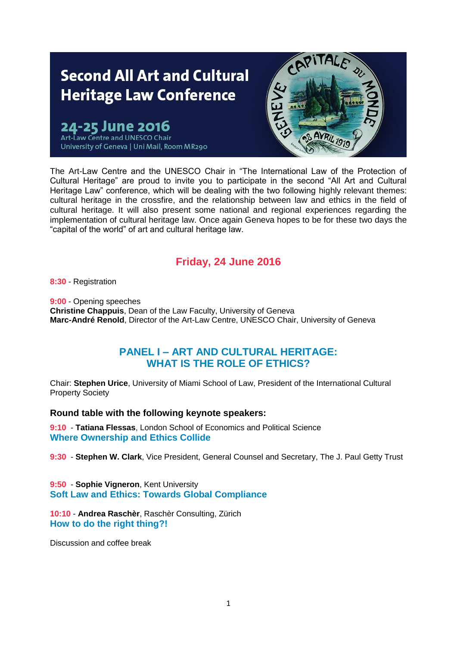# **Second All Art and Cultural Heritage Law Conference**

une 2016 Art-Law Centre and UNESCO Chair University of Geneva | Uni Mail, Room MR290



The Art-Law Centre and the UNESCO Chair in "The International Law of the Protection of Cultural Heritage" are proud to invite you to participate in the second "All Art and Cultural Heritage Law" conference, which will be dealing with the two following highly relevant themes: cultural heritage in the crossfire, and the relationship between law and ethics in the field of cultural heritage. It will also present some national and regional experiences regarding the implementation of cultural heritage law. Once again Geneva hopes to be for these two days the "capital of the world" of art and cultural heritage law.

## **Friday, 24 June 2016**

**8:30** - Registration

**9:00** - Opening speeches **Christine Chappuis**, Dean of the Law Faculty, University of Geneva **Marc-André Renold**, Director of the Art-Law Centre, UNESCO Chair, University of Geneva

## **PANEL I – ART AND CULTURAL HERITAGE: WHAT IS THE ROLE OF ETHICS?**

Chair: **Stephen Urice**, University of Miami School of Law, President of the International Cultural Property Society

#### **Round table with the following keynote speakers:**

**9:10** - **Tatiana Flessas**, London School of Economics and Political Science **Where Ownership and Ethics Collide**

**9:30** - **Stephen W. Clark**, Vice President, General Counsel and Secretary, The J. Paul Getty Trust

**9:50** - **Sophie Vigneron**, Kent University **Soft Law and Ethics: Towards Global Compliance**

**10:10** - **Andrea Raschèr**, Raschèr Consulting, Zürich **How to do the right thing?!**

Discussion and coffee break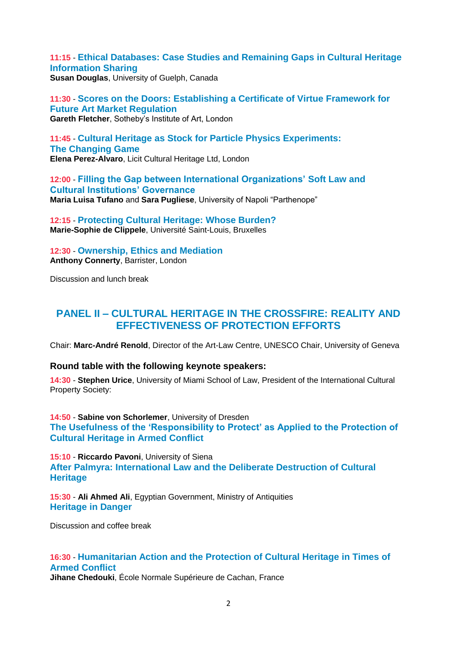**11:15** - **Ethical Databases: Case Studies and Remaining Gaps in Cultural Heritage Information Sharing Susan Douglas**, University of Guelph, Canada

**11:30** - **Scores on the Doors: Establishing a Certificate of Virtue Framework for Future Art Market Regulation Gareth Fletcher**, Sotheby's Institute of Art, London

**11:45** - **Cultural Heritage as Stock for Particle Physics Experiments: The Changing Game Elena Perez-Alvaro**, Licit Cultural Heritage Ltd, London

**12:00** - **Filling the Gap between International Organizations' Soft Law and Cultural Institutions' Governance Maria Luisa Tufano** and **Sara Pugliese**, University of Napoli "Parthenope"

**12:15** - **Protecting Cultural Heritage: Whose Burden? Marie-Sophie de Clippele**, Université Saint-Louis, Bruxelles

**12:30** - **Ownership, Ethics and Mediation Anthony Connerty**, Barrister, London

Discussion and lunch break

### **PANEL II – CULTURAL HERITAGE IN THE CROSSFIRE: REALITY AND EFFECTIVENESS OF PROTECTION EFFORTS**

Chair: **Marc-André Renold**, Director of the Art-Law Centre, UNESCO Chair, University of Geneva

#### **Round table with the following keynote speakers:**

**14:30** - **Stephen Urice**, University of Miami School of Law, President of the International Cultural Property Society:

**14:50** - **Sabine von Schorlemer**, University of Dresden **The Usefulness of the 'Responsibility to Protect' as Applied to the Protection of Cultural Heritage in Armed Conflict**

**15:10** - **Riccardo Pavoni**, University of Siena **After Palmyra: International Law and the Deliberate Destruction of Cultural Heritage**

**15:30** - **Ali Ahmed Ali**, Egyptian Government, Ministry of Antiquities **Heritage in Danger**

Discussion and coffee break

#### **16:30** - **Humanitarian Action and the Protection of Cultural Heritage in Times of Armed Conflict Jihane Chedouki**, École Normale Supérieure de Cachan, France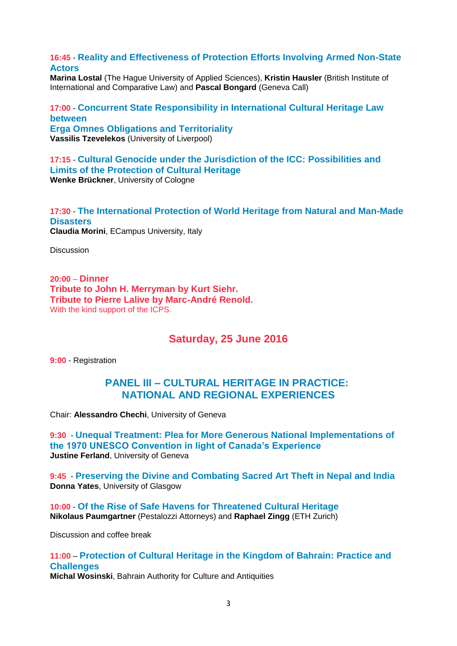**16:45** - **Reality and Effectiveness of Protection Efforts Involving Armed Non-State Actors**

**Marina Lostal** (The Hague University of Applied Sciences), **Kristin Hausler** (British Institute of International and Comparative Law) and **Pascal Bongard** (Geneva Call)

**17:00** - **Concurrent State Responsibility in International Cultural Heritage Law between Erga Omnes Obligations and Territoriality Vassilis Tzevelekos** (University of Liverpool)

**17:15** - **Cultural Genocide under the Jurisdiction of the ICC: Possibilities and Limits of the Protection of Cultural Heritage Wenke Brückner**, University of Cologne

**17:30** - **The International Protection of World Heritage from Natural and Man-Made Disasters Claudia Morini**, ECampus University, Italy

**Discussion** 

**20:00** – **Dinner Tribute to John H. Merryman by Kurt Siehr. Tribute to Pierre Lalive by Marc-André Renold.** With the kind support of the ICPS.

**Saturday, 25 June 2016**

**9:00** - Registration

## **PANEL III – CULTURAL HERITAGE IN PRACTICE: NATIONAL AND REGIONAL EXPERIENCES**

Chair: **Alessandro Chechi**, University of Geneva

**9:30** - **Unequal Treatment: Plea for More Generous National Implementations of the 1970 UNESCO Convention in light of Canada's Experience Justine Ferland**, University of Geneva

**9:45** - **Preserving the Divine and Combating Sacred Art Theft in Nepal and India Donna Yates**, University of Glasgow

**10:00** - **Of the Rise of Safe Havens for Threatened Cultural Heritage Nikolaus Paumgartner** (Pestalozzi Attorneys) and **Raphael Zingg** (ETH Zurich)

Discussion and coffee break

**11:00** – **Protection of Cultural Heritage in the Kingdom of Bahrain: Practice and Challenges**

**Michal Wosinski**, Bahrain Authority for Culture and Antiquities